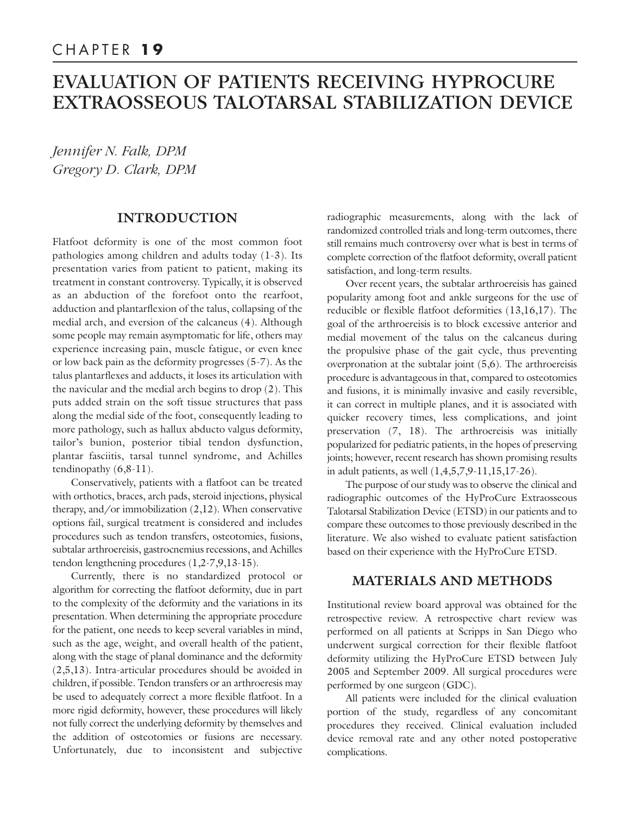# EVALUATION OF PATIENTS RECEIVING HYPROCURE EXTRAOSSEOUS TALOTARSAL STABILIZATION DEVICE

*Jennifer N. Falk, DPM Gregory D. Clark, DPM*

# **INTRODUCTION**

Flatfoot deformity is one of the most common foot pathologies among children and adults today (1-3). Its presentation varies from patient to patient, making its treatment in constant controversy. Typically, it is observed as an abduction of the forefoot onto the rearfoot, adduction and plantarflexion of the talus, collapsing of the medial arch, and eversion of the calcaneus (4). Although some people may remain asymptomatic for life, others may experience increasing pain, muscle fatigue, or even knee or low back pain as the deformity progresses (5-7). As the talus plantarflexes and adducts, it loses its articulation with the navicular and the medial arch begins to drop (2). This puts added strain on the soft tissue structures that pass along the medial side of the foot, consequently leading to more pathology, such as hallux abducto valgus deformity, tailor's bunion, posterior tibial tendon dysfunction, plantar fasciitis, tarsal tunnel syndrome, and Achilles tendinopathy (6,8-11).

Conservatively, patients with a flatfoot can be treated with orthotics, braces, arch pads, steroid injections, physical therapy, and/or immobilization (2,12). When conservative options fail, surgical treatment is considered and includes procedures such as tendon transfers, osteotomies, fusions, subtalar arthroereisis, gastrocnemius recessions, and Achilles tendon lengthening procedures (1,2-7,9,13-15).

Currently, there is no standardized protocol or algorithm for correcting the flatfoot deformity, due in part to the complexity of the deformity and the variations in its presentation. When determining the appropriate procedure for the patient, one needs to keep several variables in mind, such as the age, weight, and overall health of the patient, along with the stage of planal dominance and the deformity (2,5,13). Intra-articular procedures should be avoided in children, if possible. Tendon transfers or an arthroeresis may be used to adequately correct a more flexible flatfoot. In a more rigid deformity, however, these procedures will likely not fully correct the underlying deformity by themselves and the addition of osteotomies or fusions are necessary. Unfortunately, due to inconsistent and subjective

radiographic measurements, along with the lack of randomized controlled trials and long-term outcomes, there still remains much controversy over what is best in terms of complete correction of the flatfoot deformity, overall patient satisfaction, and long-term results.

Over recent years, the subtalar arthroereisis has gained popularity among foot and ankle surgeons for the use of reducible or flexible flatfoot deformities (13,16,17). The goal of the arthroereisis is to block excessive anterior and medial movement of the talus on the calcaneus during the propulsive phase of the gait cycle, thus preventing overpronation at the subtalar joint (5,6). The arthroereisis procedure is advantageous in that, compared to osteotomies and fusions, it is minimally invasive and easily reversible, it can correct in multiple planes, and it is associated with quicker recovery times, less complications, and joint preservation (7, 18). The arthroereisis was initially popularized for pediatric patients, in the hopes of preserving joints; however, recent research has shown promising results in adult patients, as well (1,4,5,7,9-11,15,17-26).

The purpose of our study was to observe the clinical and radiographic outcomes of the HyProCure Extraosseous Talotarsal Stabilization Device (ETSD) in our patients and to compare these outcomes to those previously described in the literature. We also wished to evaluate patient satisfaction based on their experience with the HyProCure ETSD.

# **MATERIALS AND METHODS**

Institutional review board approval was obtained for the retrospective review. A retrospective chart review was performed on all patients at Scripps in San Diego who underwent surgical correction for their flexible flatfoot deformity utilizing the HyProCure ETSD between July 2005 and September 2009. All surgical procedures were performed by one surgeon (GDC).

All patients were included for the clinical evaluation portion of the study, regardless of any concomitant procedures they received. Clinical evaluation included device removal rate and any other noted postoperative complications.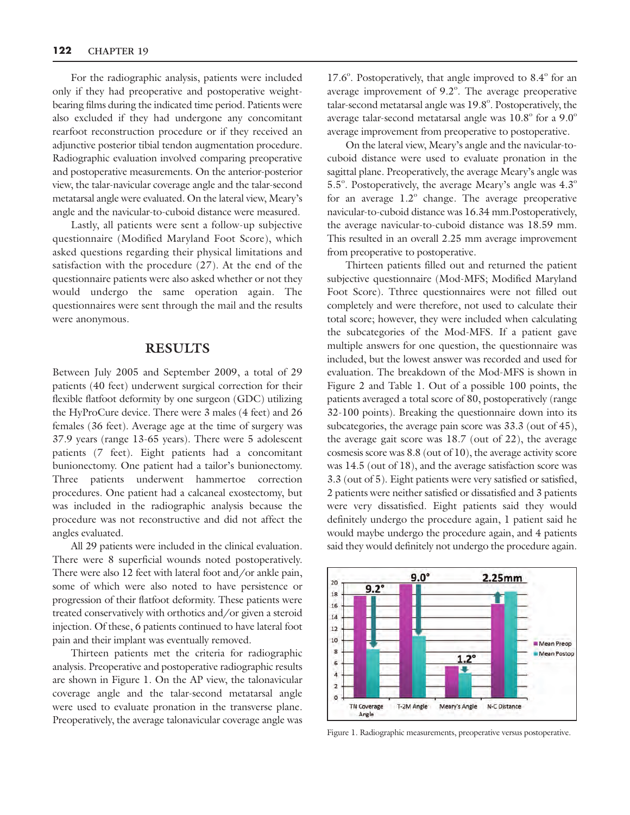For the radiographic analysis, patients were included only if they had preoperative and postoperative weightbearing films during the indicated time period. Patients were also excluded if they had undergone any concomitant rearfoot reconstruction procedure or if they received an adjunctive posterior tibial tendon augmentation procedure. Radiographic evaluation involved comparing preoperative and postoperative measurements. On the anterior-posterior view, the talar-navicular coverage angle and the talar-second metatarsal angle were evaluated. On the lateral view, Meary's angle and the navicular-to-cuboid distance were measured.

Lastly, all patients were sent a follow-up subjective questionnaire (Modified Maryland Foot Score), which asked questions regarding their physical limitations and satisfaction with the procedure (27). At the end of the questionnaire patients were also asked whether or not they would undergo the same operation again. The questionnaires were sent through the mail and the results were anonymous.

#### **RESULTS**

Between July 2005 and September 2009, a total of 29 patients (40 feet) underwent surgical correction for their flexible flatfoot deformity by one surgeon (GDC) utilizing the HyProCure device. There were 3 males (4 feet) and 26 females (36 feet). Average age at the time of surgery was 37.9 years (range 13-65 years). There were 5 adolescent patients (7 feet). Eight patients had a concomitant bunionectomy. One patient had a tailor's bunionectomy. Three patients underwent hammertoe correction procedures. One patient had a calcaneal exostectomy, but was included in the radiographic analysis because the procedure was not reconstructive and did not affect the angles evaluated.

All 29 patients were included in the clinical evaluation. There were 8 superficial wounds noted postoperatively. There were also 12 feet with lateral foot and/or ankle pain, some of which were also noted to have persistence or progression of their flatfoot deformity. These patients were treated conservatively with orthotics and/or given a steroid injection. Of these, 6 patients continued to have lateral foot pain and their implant was eventually removed.

Thirteen patients met the criteria for radiographic analysis. Preoperative and postoperative radiographic results are shown in Figure 1. On the AP view, the talonavicular coverage angle and the talar-second metatarsal angle were used to evaluate pronation in the transverse plane. Preoperatively, the average talonavicular coverage angle was

 $17.6^\circ$ . Postoperatively, that angle improved to  $8.4^\circ$  for an average improvement of  $9.2^\circ$ . The average preoperative talar-second metatarsal angle was 19.8°. Postoperatively, the average talar-second metatarsal angle was  $10.8^{\circ}$  for a  $9.0^{\circ}$ average improvement from preoperative to postoperative.

On the lateral view, Meary's angle and the navicular-tocuboid distance were used to evaluate pronation in the sagittal plane. Preoperatively, the average Meary's angle was  $5.5^{\circ}$ . Postoperatively, the average Meary's angle was  $4.3^{\circ}$ for an average  $1.2^\circ$  change. The average preoperative navicular-to-cuboid distance was 16.34 mm.Postoperatively, the average navicular-to-cuboid distance was 18.59 mm. This resulted in an overall 2.25 mm average improvement from preoperative to postoperative.

Thirteen patients filled out and returned the patient subjective questionnaire (Mod-MFS; Modified Maryland Foot Score). Tthree questionnaires were not filled out completely and were therefore, not used to calculate their total score; however, they were included when calculating the subcategories of the Mod-MFS. If a patient gave multiple answers for one question, the questionnaire was included, but the lowest answer was recorded and used for evaluation. The breakdown of the Mod-MFS is shown in Figure 2 and Table 1. Out of a possible 100 points, the patients averaged a total score of 80, postoperatively (range 32-100 points). Breaking the questionnaire down into its subcategories, the average pain score was 33.3 (out of 45), the average gait score was 18.7 (out of 22), the average cosmesis score was 8.8 (out of 10), the average activity score was 14.5 (out of 18), and the average satisfaction score was 3.3 (out of 5). Eight patients were very satisfied or satisfied, 2 patients were neither satisfied or dissatisfied and 3 patients were very dissatisfied. Eight patients said they would definitely undergo the procedure again, 1 patient said he would maybe undergo the procedure again, and 4 patients said they would definitely not undergo the procedure again.



Figure 1. Radiographic measurements, preoperative versus postoperative.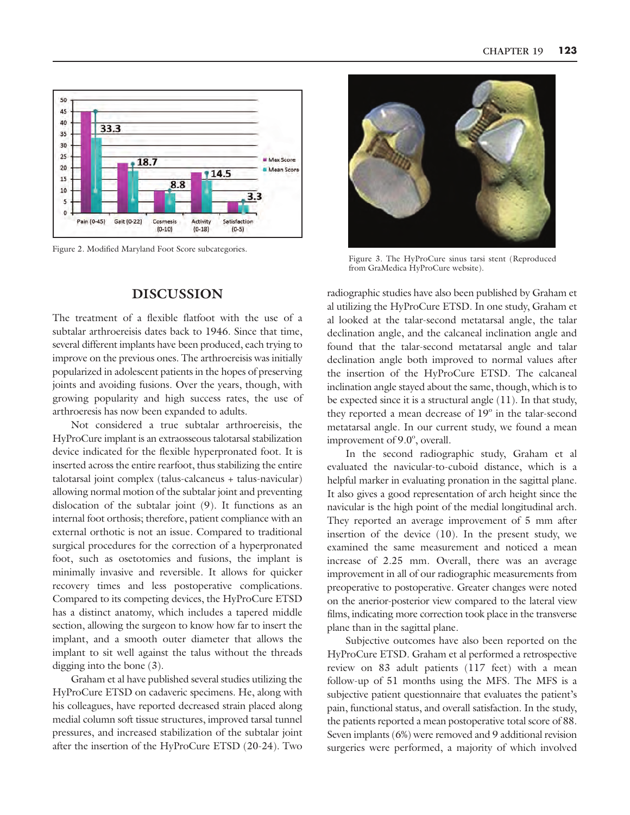

Figure 2. Modified Maryland Foot Score subcategories.

#### **DISCUSSION**

The treatment of a flexible flatfoot with the use of a subtalar arthroereisis dates back to 1946. Since that time, several different implants have been produced, each trying to improve on the previous ones. The arthroereisis was initially popularized in adolescent patients in the hopes of preserving joints and avoiding fusions. Over the years, though, with growing popularity and high success rates, the use of arthroeresis has now been expanded to adults.

Not considered a true subtalar arthroereisis, the HyProCure implant is an extraosseous talotarsal stabilization device indicated for the flexible hyperpronated foot. It is inserted across the entire rearfoot, thus stabilizing the entire talotarsal joint complex (talus-calcaneus + talus-navicular) allowing normal motion of the subtalar joint and preventing dislocation of the subtalar joint (9). It functions as an internal foot orthosis; therefore, patient compliance with an external orthotic is not an issue. Compared to traditional surgical procedures for the correction of a hyperpronated foot, such as osetotomies and fusions, the implant is minimally invasive and reversible. It allows for quicker recovery times and less postoperative complications. Compared to its competing devices, the HyProCure ETSD has a distinct anatomy, which includes a tapered middle section, allowing the surgeon to know how far to insert the implant, and a smooth outer diameter that allows the implant to sit well against the talus without the threads digging into the bone (3).

Graham et al have published several studies utilizing the HyProCure ETSD on cadaveric specimens. He, along with his colleagues, have reported decreased strain placed along medial column soft tissue structures, improved tarsal tunnel pressures, and increased stabilization of the subtalar joint after the insertion of the HyProCure ETSD (20-24). Two



Figure 3. The HyProCure sinus tarsi stent (Reproduced from GraMedica HyProCure website).

radiographic studies have also been published by Graham et al utilizing the HyProCure ETSD. In one study, Graham et al looked at the talar-second metatarsal angle, the talar declination angle, and the calcaneal inclination angle and found that the talar-second metatarsal angle and talar declination angle both improved to normal values after the insertion of the HyProCure ETSD. The calcaneal inclination angle stayed about the same, though, which is to be expected since it is a structural angle (11). In that study, they reported a mean decrease of  $19^\circ$  in the talar-second metatarsal angle. In our current study, we found a mean improvement of  $9.0^\circ$ , overall.

In the second radiographic study, Graham et al evaluated the navicular-to-cuboid distance, which is a helpful marker in evaluating pronation in the sagittal plane. It also gives a good representation of arch height since the navicular is the high point of the medial longitudinal arch. They reported an average improvement of 5 mm after insertion of the device (10). In the present study, we examined the same measurement and noticed a mean increase of 2.25 mm. Overall, there was an average improvement in all of our radiographic measurements from preoperative to postoperative. Greater changes were noted on the anerior-posterior view compared to the lateral view films, indicating more correction took place in the transverse plane than in the sagittal plane.

Subjective outcomes have also been reported on the HyProCure ETSD. Graham et al performed a retrospective review on 83 adult patients (117 feet) with a mean follow-up of 51 months using the MFS. The MFS is a subjective patient questionnaire that evaluates the patient's pain, functional status, and overall satisfaction. In the study, the patients reported a mean postoperative total score of 88. Seven implants (6%) were removed and 9 additional revision surgeries were performed, a majority of which involved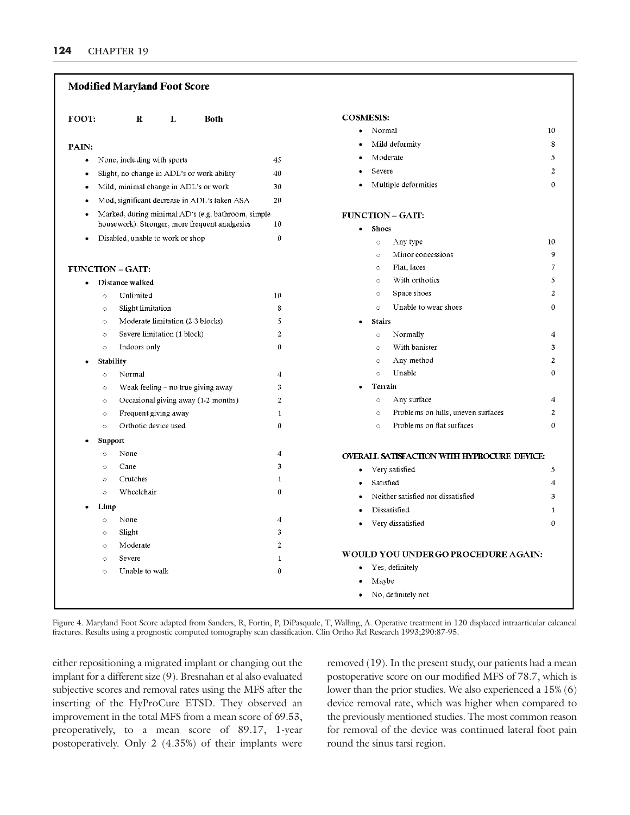#### **Modified Maryland Foot Score COSMESIS:** FOOT:  $\mathbf{R}$ L **Both** Normal 10 Mild deformity 8 PAIN: Moderate 5 None, including with sports 45  $\bullet$  $\boldsymbol{2}$ Severe Slight, no change in ADL's or work ability 40 Multiple deformities  $\mathbf 0$ Mild, minimal change in ADL's or work 30 Mod, significant decrease in ADL's taken ASA 20 Marked, during minimal AD's (e.g. bathroom, simple **FUNCTION - GAIT:** housework). Stronger, more frequent analgesics 10 • Shoes Disabled, unable to work or shop  $\mathbf{0}$  $\circ$ Any type 10 Minor concessions  $\mathbf{Q}$  $\circ$ Flat, laces  $\overline{7}$ **FUNCTION - GAIT:**  $\circ$ With orthotics  $\circ$ 5 Distance walked Space shoes  $\boldsymbol{2}$  $\circ$  $\circ$ Unlimited 10 Unable to wear shoes Slight limitation 8  $\circ$  $\mathbf{0}$  $\circ$ Moderate limitation (2-3 blocks)  $\overline{5}$ **Stairs**  $\bigcap$ Severe limitation (1 block)  $\overline{c}$  $\circ$  $\circ$ Normally  $\overline{4}$  $\mathbf{0}$ Indoors only With banister  $\mathfrak{Z}$  $\circ$  $\circ$ Any method  $\circ$  $\overline{2}$ Stability Unable  $\theta$  $\circ$ Normal  $\overline{4}$  $\circ$  $\overline{\mathbf{3}}$ Terrain Weak feeling - no true giving away  $\circ$ Occasional giving away (1-2 months)  $\overline{c}$  $\circ$ Any surface  $\overline{4}$  $\circ$ Problems on hills, uneven surfaces  $\boldsymbol{2}$ Frequent giving away  $\mathbf{1}$  $\circ$  $\circ$ Orthotic device used  $\theta$ Problems on flat surfaces  $\theta$  $\circ$  $\triangle$ Support  $\overline{\mathbf{4}}$  $\circ$ None **OVERALL SATISFACTION WITH HYPROCURE DEVICE:** Cane 3  $\circ$ Very satisfied  $\bullet$ 5 Crutches  $\mathbf{1}$  $\circ$ Satisfied  $\overline{\mathbf{4}}$  $\bullet$ Wheelchair  $\theta$  $\ddot{\circ}$  $\bullet$ Neither satisfied nor dissatisfied  $\overline{\mathbf{3}}$ Limp Dissatisfied  $\mathbf{1}$ None  $\overline{\mathbf{4}}$  $\circ$  $\theta$  $\bullet$ Very dissatisfied Slight 3  $\circ$  $\overline{c}$ Moderate  $\circ$ WOULD YOU UNDERGO PROCEDURE AGAIN:  $\circ$ Severe  $\mathbf{1}$ Yes, definitely  $\bullet$ Unable to walk  $\theta$ Maybe No, definitely not

Figure 4. Maryland Foot Score adapted from Sanders, R, Fortin, P, DiPasquale, T, Walling, A. Operative treatment in 120 displaced intraarticular calcaneal fractures. Results using a prognostic computed tomography scan classification. Clin Ortho Rel Research 1993;290:87-95.

either repositioning a migrated implant or changing out the implant for a different size (9). Bresnahan et al also evaluated subjective scores and removal rates using the MFS after the inserting of the HyProCure ETSD. They observed an improvement in the total MFS from a mean score of 69.53, preoperatively, to a mean score of 89.17, 1-year postoperatively. Only 2 (4.35%) of their implants were removed (19). In the present study, our patients had a mean postoperative score on our modified MFS of 78.7, which is lower than the prior studies. We also experienced a 15% (6) device removal rate, which was higher when compared to the previously mentioned studies. The most common reason for removal of the device was continued lateral foot pain round the sinus tarsi region.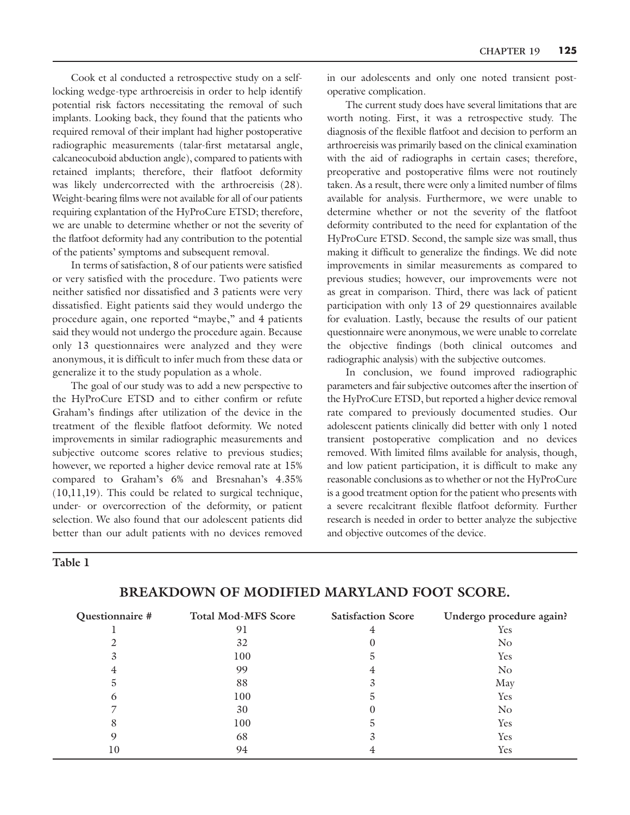Cook et al conducted a retrospective study on a selflocking wedge-type arthroereisis in order to help identify potential risk factors necessitating the removal of such implants. Looking back, they found that the patients who required removal of their implant had higher postoperative radiographic measurements (talar-first metatarsal angle, calcaneocuboid abduction angle), compared to patients with retained implants; therefore, their flatfoot deformity was likely undercorrected with the arthroereisis (28). Weight-bearing films were not available for all of our patients requiring explantation of the HyProCure ETSD; therefore, we are unable to determine whether or not the severity of the flatfoot deformity had any contribution to the potential of the patients' symptoms and subsequent removal.

In terms of satisfaction, 8 of our patients were satisfied or very satisfied with the procedure. Two patients were neither satisfied nor dissatisfied and 3 patients were very dissatisfied. Eight patients said they would undergo the procedure again, one reported "maybe," and 4 patients said they would not undergo the procedure again. Because only 13 questionnaires were analyzed and they were anonymous, it is difficult to infer much from these data or generalize it to the study population as a whole.

The goal of our study was to add a new perspective to the HyProCure ETSD and to either confirm or refute Graham's findings after utilization of the device in the treatment of the flexible flatfoot deformity. We noted improvements in similar radiographic measurements and subjective outcome scores relative to previous studies; however, we reported a higher device removal rate at 15% compared to Graham's 6% and Bresnahan's 4.35% (10,11,19). This could be related to surgical technique, under- or overcorrection of the deformity, or patient selection. We also found that our adolescent patients did better than our adult patients with no devices removed

in our adolescents and only one noted transient postoperative complication.

The current study does have several limitations that are worth noting. First, it was a retrospective study. The diagnosis of the flexible flatfoot and decision to perform an arthroereisis was primarily based on the clinical examination with the aid of radiographs in certain cases; therefore, preoperative and postoperative films were not routinely taken. As a result, there were only a limited number of films available for analysis. Furthermore, we were unable to determine whether or not the severity of the flatfoot deformity contributed to the need for explantation of the HyProCure ETSD. Second, the sample size was small, thus making it difficult to generalize the findings. We did note improvements in similar measurements as compared to previous studies; however, our improvements were not as great in comparison. Third, there was lack of patient participation with only 13 of 29 questionnaires available for evaluation. Lastly, because the results of our patient questionnaire were anonymous, we were unable to correlate the objective findings (both clinical outcomes and radiographic analysis) with the subjective outcomes.

In conclusion, we found improved radiographic parameters and fair subjective outcomes after the insertion of the HyProCure ETSD, but reported a higher device removal rate compared to previously documented studies. Our adolescent patients clinically did better with only 1 noted transient postoperative complication and no devices removed. With limited films available for analysis, though, and low patient participation, it is difficult to make any reasonable conclusions as to whether or not the HyProCure is a good treatment option for the patient who presents with a severe recalcitrant flexible flatfoot deformity. Further research is needed in order to better analyze the subjective and objective outcomes of the device.

|--|--|--|

| Questionnaire # | <b>Total Mod-MFS Score</b> | <b>Satisfaction Score</b> | Undergo procedure again? |
|-----------------|----------------------------|---------------------------|--------------------------|
|                 | 91                         | 4                         | Yes                      |
|                 | 32                         |                           | N <sub>o</sub>           |
| 3               | 100                        | 5.                        | Yes                      |
| 4               | 99                         |                           | N <sub>o</sub>           |
| 5.              | 88                         |                           | May                      |
| O               | 100                        | G.                        | Yes                      |
|                 | 30                         |                           | N <sub>o</sub>           |
| 8               | 100                        |                           | Yes                      |
| 9               | 68                         |                           | Yes                      |
| 10              | 94                         |                           | Yes                      |

# **BREAKDOWN OF MODIFIED MARYLAND FOOT SCORE.**